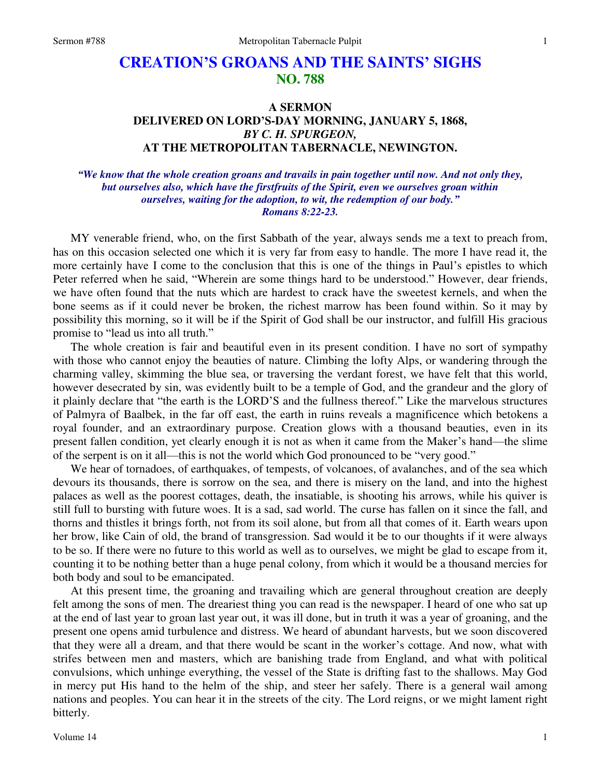# **CREATION'S GROANS AND THE SAINTS' SIGHS NO. 788**

## **A SERMON DELIVERED ON LORD'S-DAY MORNING, JANUARY 5, 1868,**  *BY C. H. SPURGEON,*  **AT THE METROPOLITAN TABERNACLE, NEWINGTON.**

### *"We know that the whole creation groans and travails in pain together until now. And not only they, but ourselves also, which have the firstfruits of the Spirit, even we ourselves groan within ourselves, waiting for the adoption, to wit, the redemption of our body." Romans 8:22-23.*

MY venerable friend, who, on the first Sabbath of the year, always sends me a text to preach from, has on this occasion selected one which it is very far from easy to handle. The more I have read it, the more certainly have I come to the conclusion that this is one of the things in Paul's epistles to which Peter referred when he said, "Wherein are some things hard to be understood." However, dear friends, we have often found that the nuts which are hardest to crack have the sweetest kernels, and when the bone seems as if it could never be broken, the richest marrow has been found within. So it may by possibility this morning, so it will be if the Spirit of God shall be our instructor, and fulfill His gracious promise to "lead us into all truth."

The whole creation is fair and beautiful even in its present condition. I have no sort of sympathy with those who cannot enjoy the beauties of nature. Climbing the lofty Alps, or wandering through the charming valley, skimming the blue sea, or traversing the verdant forest, we have felt that this world, however desecrated by sin, was evidently built to be a temple of God, and the grandeur and the glory of it plainly declare that "the earth is the LORD'S and the fullness thereof." Like the marvelous structures of Palmyra of Baalbek, in the far off east, the earth in ruins reveals a magnificence which betokens a royal founder, and an extraordinary purpose. Creation glows with a thousand beauties, even in its present fallen condition, yet clearly enough it is not as when it came from the Maker's hand—the slime of the serpent is on it all—this is not the world which God pronounced to be "very good."

We hear of tornadoes, of earthquakes, of tempests, of volcanoes, of avalanches, and of the sea which devours its thousands, there is sorrow on the sea, and there is misery on the land, and into the highest palaces as well as the poorest cottages, death, the insatiable, is shooting his arrows, while his quiver is still full to bursting with future woes. It is a sad, sad world. The curse has fallen on it since the fall, and thorns and thistles it brings forth, not from its soil alone, but from all that comes of it. Earth wears upon her brow, like Cain of old, the brand of transgression. Sad would it be to our thoughts if it were always to be so. If there were no future to this world as well as to ourselves, we might be glad to escape from it, counting it to be nothing better than a huge penal colony, from which it would be a thousand mercies for both body and soul to be emancipated.

At this present time, the groaning and travailing which are general throughout creation are deeply felt among the sons of men. The dreariest thing you can read is the newspaper. I heard of one who sat up at the end of last year to groan last year out, it was ill done, but in truth it was a year of groaning, and the present one opens amid turbulence and distress. We heard of abundant harvests, but we soon discovered that they were all a dream, and that there would be scant in the worker's cottage. And now, what with strifes between men and masters, which are banishing trade from England, and what with political convulsions, which unhinge everything, the vessel of the State is drifting fast to the shallows. May God in mercy put His hand to the helm of the ship, and steer her safely. There is a general wail among nations and peoples. You can hear it in the streets of the city. The Lord reigns, or we might lament right bitterly.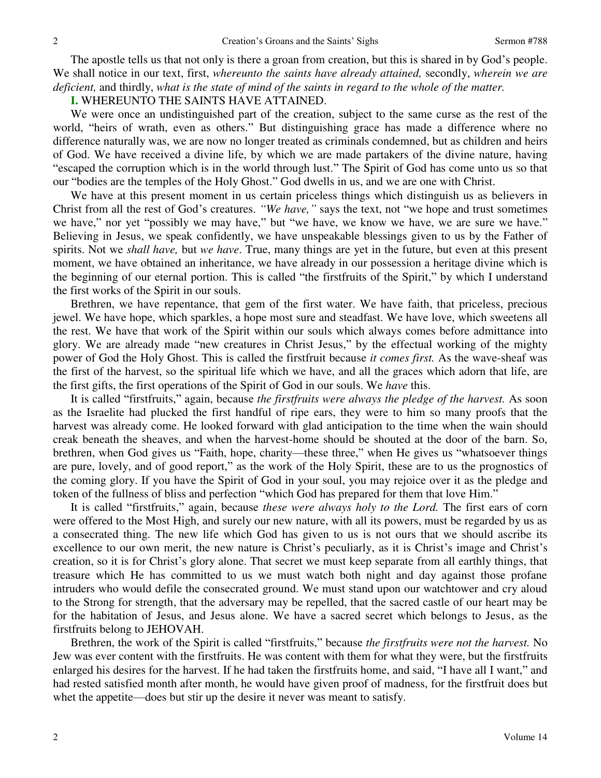The apostle tells us that not only is there a groan from creation, but this is shared in by God's people. We shall notice in our text, first, *whereunto the saints have already attained,* secondly, *wherein we are deficient,* and thirdly, *what is the state of mind of the saints in regard to the whole of the matter.* 

**I.** WHEREUNTO THE SAINTS HAVE ATTAINED.

We were once an undistinguished part of the creation, subject to the same curse as the rest of the world, "heirs of wrath, even as others." But distinguishing grace has made a difference where no difference naturally was, we are now no longer treated as criminals condemned, but as children and heirs of God. We have received a divine life, by which we are made partakers of the divine nature, having "escaped the corruption which is in the world through lust." The Spirit of God has come unto us so that our "bodies are the temples of the Holy Ghost." God dwells in us, and we are one with Christ.

We have at this present moment in us certain priceless things which distinguish us as believers in Christ from all the rest of God's creatures. *"We have,"* says the text, not "we hope and trust sometimes we have," nor yet "possibly we may have," but "we have, we know we have, we are sure we have." Believing in Jesus, we speak confidently, we have unspeakable blessings given to us by the Father of spirits. Not we *shall have,* but *we have*. True, many things are yet in the future, but even at this present moment, we have obtained an inheritance, we have already in our possession a heritage divine which is the beginning of our eternal portion. This is called "the firstfruits of the Spirit," by which I understand the first works of the Spirit in our souls.

Brethren, we have repentance, that gem of the first water. We have faith, that priceless, precious jewel. We have hope, which sparkles, a hope most sure and steadfast. We have love, which sweetens all the rest. We have that work of the Spirit within our souls which always comes before admittance into glory. We are already made "new creatures in Christ Jesus," by the effectual working of the mighty power of God the Holy Ghost. This is called the firstfruit because *it comes first.* As the wave-sheaf was the first of the harvest, so the spiritual life which we have, and all the graces which adorn that life, are the first gifts, the first operations of the Spirit of God in our souls. We *have* this.

It is called "firstfruits," again, because *the firstfruits were always the pledge of the harvest.* As soon as the Israelite had plucked the first handful of ripe ears, they were to him so many proofs that the harvest was already come. He looked forward with glad anticipation to the time when the wain should creak beneath the sheaves, and when the harvest-home should be shouted at the door of the barn. So, brethren, when God gives us "Faith, hope, charity—these three," when He gives us "whatsoever things are pure, lovely, and of good report," as the work of the Holy Spirit, these are to us the prognostics of the coming glory. If you have the Spirit of God in your soul, you may rejoice over it as the pledge and token of the fullness of bliss and perfection "which God has prepared for them that love Him."

It is called "firstfruits," again, because *these were always holy to the Lord.* The first ears of corn were offered to the Most High, and surely our new nature, with all its powers, must be regarded by us as a consecrated thing. The new life which God has given to us is not ours that we should ascribe its excellence to our own merit, the new nature is Christ's peculiarly, as it is Christ's image and Christ's creation, so it is for Christ's glory alone. That secret we must keep separate from all earthly things, that treasure which He has committed to us we must watch both night and day against those profane intruders who would defile the consecrated ground. We must stand upon our watchtower and cry aloud to the Strong for strength, that the adversary may be repelled, that the sacred castle of our heart may be for the habitation of Jesus, and Jesus alone. We have a sacred secret which belongs to Jesus, as the firstfruits belong to JEHOVAH.

Brethren, the work of the Spirit is called "firstfruits," because *the firstfruits were not the harvest.* No Jew was ever content with the firstfruits. He was content with them for what they were, but the firstfruits enlarged his desires for the harvest. If he had taken the firstfruits home, and said, "I have all I want," and had rested satisfied month after month, he would have given proof of madness, for the firstfruit does but whet the appetite—does but stir up the desire it never was meant to satisfy.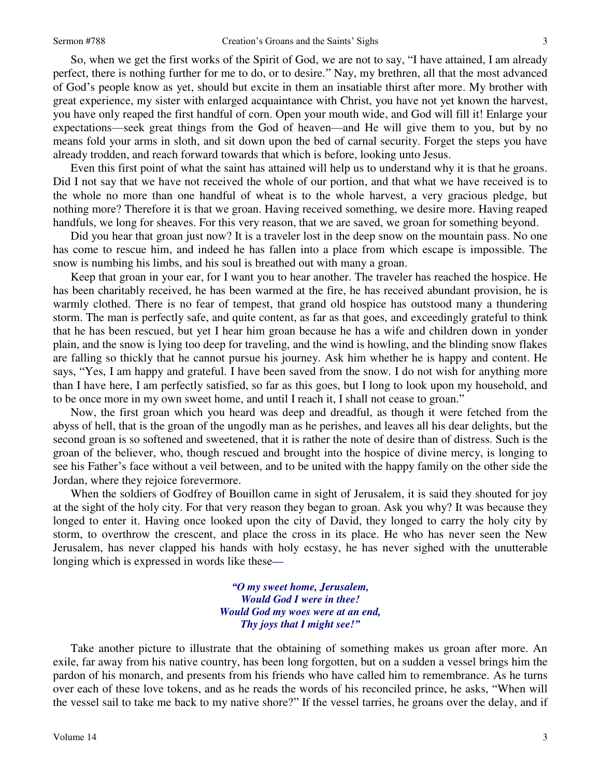So, when we get the first works of the Spirit of God, we are not to say, "I have attained, I am already perfect, there is nothing further for me to do, or to desire." Nay, my brethren, all that the most advanced of God's people know as yet, should but excite in them an insatiable thirst after more. My brother with great experience, my sister with enlarged acquaintance with Christ, you have not yet known the harvest, you have only reaped the first handful of corn. Open your mouth wide, and God will fill it! Enlarge your expectations—seek great things from the God of heaven—and He will give them to you, but by no means fold your arms in sloth, and sit down upon the bed of carnal security. Forget the steps you have already trodden, and reach forward towards that which is before, looking unto Jesus.

Even this first point of what the saint has attained will help us to understand why it is that he groans. Did I not say that we have not received the whole of our portion, and that what we have received is to the whole no more than one handful of wheat is to the whole harvest, a very gracious pledge, but nothing more? Therefore it is that we groan. Having received something, we desire more. Having reaped handfuls, we long for sheaves. For this very reason, that we are saved, we groan for something beyond.

Did you hear that groan just now? It is a traveler lost in the deep snow on the mountain pass. No one has come to rescue him, and indeed he has fallen into a place from which escape is impossible. The snow is numbing his limbs, and his soul is breathed out with many a groan.

Keep that groan in your ear, for I want you to hear another. The traveler has reached the hospice. He has been charitably received, he has been warmed at the fire, he has received abundant provision, he is warmly clothed. There is no fear of tempest, that grand old hospice has outstood many a thundering storm. The man is perfectly safe, and quite content, as far as that goes, and exceedingly grateful to think that he has been rescued, but yet I hear him groan because he has a wife and children down in yonder plain, and the snow is lying too deep for traveling, and the wind is howling, and the blinding snow flakes are falling so thickly that he cannot pursue his journey. Ask him whether he is happy and content. He says, "Yes, I am happy and grateful. I have been saved from the snow. I do not wish for anything more than I have here, I am perfectly satisfied, so far as this goes, but I long to look upon my household, and to be once more in my own sweet home, and until I reach it, I shall not cease to groan."

Now, the first groan which you heard was deep and dreadful, as though it were fetched from the abyss of hell, that is the groan of the ungodly man as he perishes, and leaves all his dear delights, but the second groan is so softened and sweetened, that it is rather the note of desire than of distress. Such is the groan of the believer, who, though rescued and brought into the hospice of divine mercy, is longing to see his Father's face without a veil between, and to be united with the happy family on the other side the Jordan, where they rejoice forevermore.

When the soldiers of Godfrey of Bouillon came in sight of Jerusalem, it is said they shouted for joy at the sight of the holy city. For that very reason they began to groan. Ask you why? It was because they longed to enter it. Having once looked upon the city of David, they longed to carry the holy city by storm, to overthrow the crescent, and place the cross in its place. He who has never seen the New Jerusalem, has never clapped his hands with holy ecstasy, he has never sighed with the unutterable longing which is expressed in words like these*—*

> *"O my sweet home, Jerusalem, Would God I were in thee! Would God my woes were at an end, Thy joys that I might see!"*

Take another picture to illustrate that the obtaining of something makes us groan after more. An exile, far away from his native country, has been long forgotten, but on a sudden a vessel brings him the pardon of his monarch, and presents from his friends who have called him to remembrance. As he turns over each of these love tokens, and as he reads the words of his reconciled prince, he asks, "When will the vessel sail to take me back to my native shore?" If the vessel tarries, he groans over the delay, and if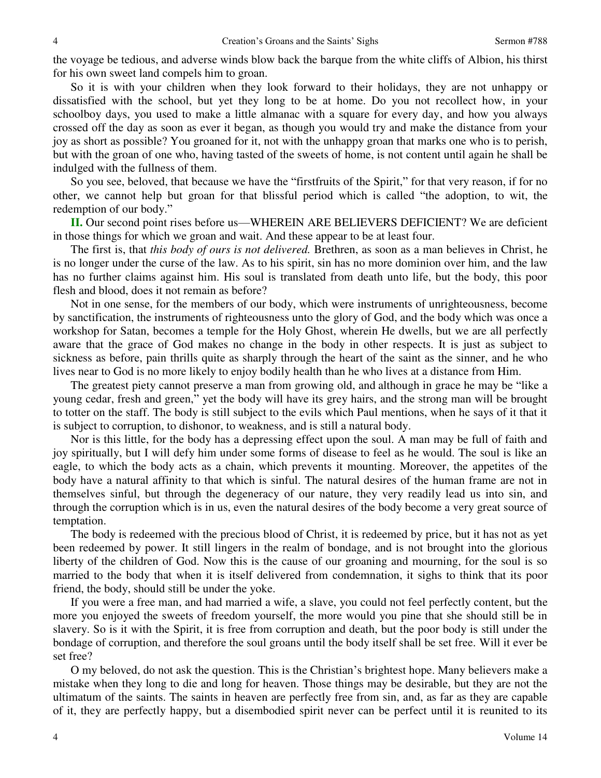the voyage be tedious, and adverse winds blow back the barque from the white cliffs of Albion, his thirst for his own sweet land compels him to groan.

So it is with your children when they look forward to their holidays, they are not unhappy or dissatisfied with the school, but yet they long to be at home. Do you not recollect how, in your schoolboy days, you used to make a little almanac with a square for every day, and how you always crossed off the day as soon as ever it began, as though you would try and make the distance from your joy as short as possible? You groaned for it, not with the unhappy groan that marks one who is to perish, but with the groan of one who, having tasted of the sweets of home, is not content until again he shall be indulged with the fullness of them.

So you see, beloved, that because we have the "firstfruits of the Spirit," for that very reason, if for no other, we cannot help but groan for that blissful period which is called "the adoption, to wit, the redemption of our body."

**II.** Our second point rises before us—WHEREIN ARE BELIEVERS DEFICIENT? We are deficient in those things for which we groan and wait. And these appear to be at least four.

The first is, that *this body of ours is not delivered.* Brethren, as soon as a man believes in Christ, he is no longer under the curse of the law. As to his spirit, sin has no more dominion over him, and the law has no further claims against him. His soul is translated from death unto life, but the body, this poor flesh and blood, does it not remain as before?

Not in one sense, for the members of our body, which were instruments of unrighteousness, become by sanctification, the instruments of righteousness unto the glory of God, and the body which was once a workshop for Satan, becomes a temple for the Holy Ghost, wherein He dwells, but we are all perfectly aware that the grace of God makes no change in the body in other respects. It is just as subject to sickness as before, pain thrills quite as sharply through the heart of the saint as the sinner, and he who lives near to God is no more likely to enjoy bodily health than he who lives at a distance from Him.

The greatest piety cannot preserve a man from growing old, and although in grace he may be "like a young cedar, fresh and green," yet the body will have its grey hairs, and the strong man will be brought to totter on the staff. The body is still subject to the evils which Paul mentions, when he says of it that it is subject to corruption, to dishonor, to weakness, and is still a natural body.

Nor is this little, for the body has a depressing effect upon the soul. A man may be full of faith and joy spiritually, but I will defy him under some forms of disease to feel as he would. The soul is like an eagle, to which the body acts as a chain, which prevents it mounting. Moreover, the appetites of the body have a natural affinity to that which is sinful. The natural desires of the human frame are not in themselves sinful, but through the degeneracy of our nature, they very readily lead us into sin, and through the corruption which is in us, even the natural desires of the body become a very great source of temptation.

The body is redeemed with the precious blood of Christ, it is redeemed by price, but it has not as yet been redeemed by power. It still lingers in the realm of bondage, and is not brought into the glorious liberty of the children of God. Now this is the cause of our groaning and mourning, for the soul is so married to the body that when it is itself delivered from condemnation, it sighs to think that its poor friend, the body, should still be under the yoke.

If you were a free man, and had married a wife, a slave, you could not feel perfectly content, but the more you enjoyed the sweets of freedom yourself, the more would you pine that she should still be in slavery. So is it with the Spirit, it is free from corruption and death, but the poor body is still under the bondage of corruption, and therefore the soul groans until the body itself shall be set free. Will it ever be set free?

O my beloved, do not ask the question. This is the Christian's brightest hope. Many believers make a mistake when they long to die and long for heaven. Those things may be desirable, but they are not the ultimatum of the saints. The saints in heaven are perfectly free from sin, and, as far as they are capable of it, they are perfectly happy, but a disembodied spirit never can be perfect until it is reunited to its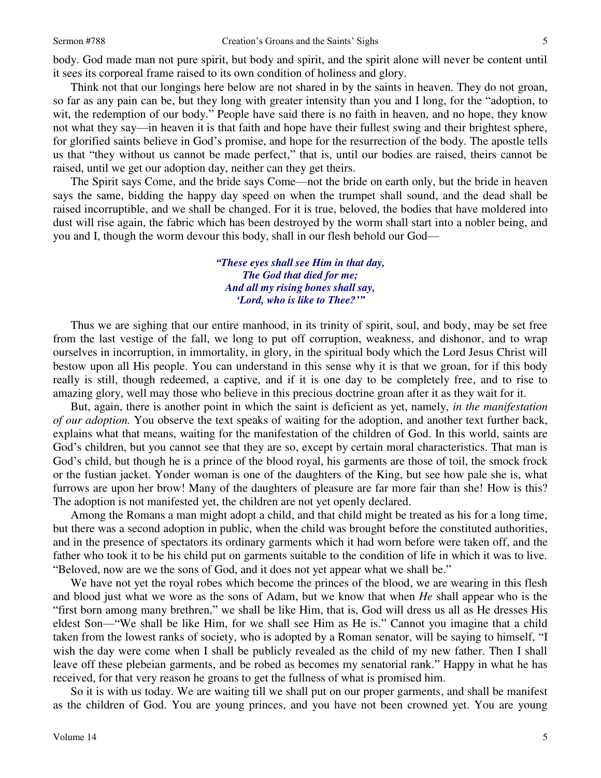body. God made man not pure spirit, but body and spirit, and the spirit alone will never be content until it sees its corporeal frame raised to its own condition of holiness and glory.

Think not that our longings here below are not shared in by the saints in heaven. They do not groan, so far as any pain can be, but they long with greater intensity than you and I long, for the "adoption, to wit, the redemption of our body." People have said there is no faith in heaven, and no hope, they know not what they say—in heaven it is that faith and hope have their fullest swing and their brightest sphere, for glorified saints believe in God's promise, and hope for the resurrection of the body. The apostle tells us that "they without us cannot be made perfect," that is, until our bodies are raised, theirs cannot be raised, until we get our adoption day, neither can they get theirs.

The Spirit says Come, and the bride says Come—not the bride on earth only, but the bride in heaven says the same, bidding the happy day speed on when the trumpet shall sound, and the dead shall be raised incorruptible, and we shall be changed. For it is true, beloved, the bodies that have moldered into dust will rise again, the fabric which has been destroyed by the worm shall start into a nobler being, and you and I, though the worm devour this body, shall in our flesh behold our God—

> *"These eyes shall see Him in that day, The God that died for me; And all my rising bones shall say, 'Lord, who is like to Thee?'"*

Thus we are sighing that our entire manhood, in its trinity of spirit, soul, and body, may be set free from the last vestige of the fall, we long to put off corruption, weakness, and dishonor, and to wrap ourselves in incorruption, in immortality, in glory, in the spiritual body which the Lord Jesus Christ will bestow upon all His people. You can understand in this sense why it is that we groan, for if this body really is still, though redeemed, a captive, and if it is one day to be completely free, and to rise to amazing glory, well may those who believe in this precious doctrine groan after it as they wait for it.

But, again, there is another point in which the saint is deficient as yet, namely, *in the manifestation of our adoption.* You observe the text speaks of waiting for the adoption, and another text further back, explains what that means, waiting for the manifestation of the children of God. In this world, saints are God's children, but you cannot see that they are so, except by certain moral characteristics. That man is God's child, but though he is a prince of the blood royal, his garments are those of toil, the smock frock or the fustian jacket. Yonder woman is one of the daughters of the King, but see how pale she is, what furrows are upon her brow! Many of the daughters of pleasure are far more fair than she! How is this? The adoption is not manifested yet, the children are not yet openly declared.

Among the Romans a man might adopt a child, and that child might be treated as his for a long time, but there was a second adoption in public, when the child was brought before the constituted authorities, and in the presence of spectators its ordinary garments which it had worn before were taken off, and the father who took it to be his child put on garments suitable to the condition of life in which it was to live. "Beloved, now are we the sons of God, and it does not yet appear what we shall be."

We have not yet the royal robes which become the princes of the blood, we are wearing in this flesh and blood just what we wore as the sons of Adam, but we know that when *He* shall appear who is the "first born among many brethren," we shall be like Him, that is, God will dress us all as He dresses His eldest Son—"We shall be like Him, for we shall see Him as He is." Cannot you imagine that a child taken from the lowest ranks of society, who is adopted by a Roman senator, will be saying to himself, "I wish the day were come when I shall be publicly revealed as the child of my new father. Then I shall leave off these plebeian garments, and be robed as becomes my senatorial rank." Happy in what he has received, for that very reason he groans to get the fullness of what is promised him.

So it is with us today. We are waiting till we shall put on our proper garments, and shall be manifest as the children of God. You are young princes, and you have not been crowned yet. You are young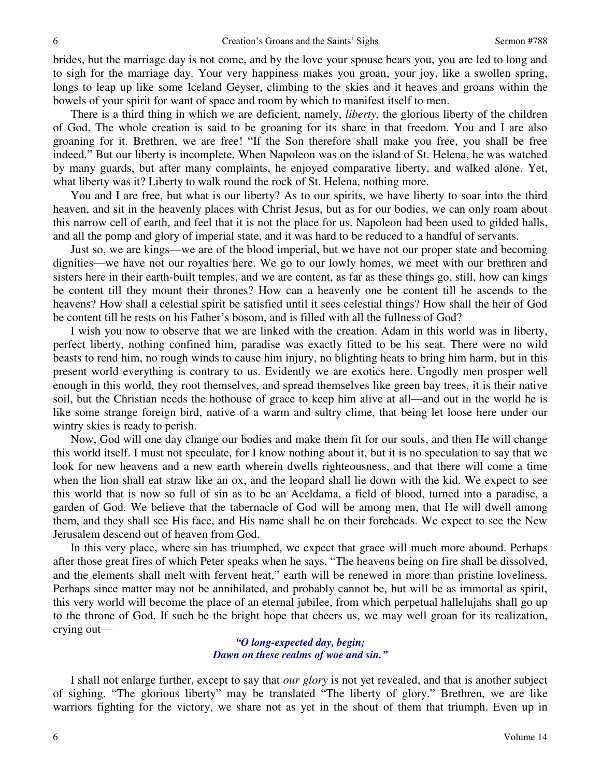brides, but the marriage day is not come, and by the love your spouse bears you, you are led to long and to sigh for the marriage day. Your very happiness makes you groan, your joy, like a swollen spring, longs to leap up like some Iceland Geyser, climbing to the skies and it heaves and groans within the bowels of your spirit for want of space and room by which to manifest itself to men.

There is a third thing in which we are deficient, namely, *liberty,* the glorious liberty of the children of God. The whole creation is said to be groaning for its share in that freedom. You and I are also groaning for it. Brethren, we are free! "If the Son therefore shall make you free, you shall be free indeed." But our liberty is incomplete. When Napoleon was on the island of St. Helena, he was watched by many guards, but after many complaints, he enjoyed comparative liberty, and walked alone. Yet, what liberty was it? Liberty to walk round the rock of St. Helena, nothing more.

You and I are free, but what is our liberty? As to our spirits, we have liberty to soar into the third heaven, and sit in the heavenly places with Christ Jesus, but as for our bodies, we can only roam about this narrow cell of earth, and feel that it is not the place for us. Napoleon had been used to gilded halls, and all the pomp and glory of imperial state, and it was hard to be reduced to a handful of servants.

Just so, we are kings—we are of the blood imperial, but we have not our proper state and becoming dignities—we have not our royalties here. We go to our lowly homes, we meet with our brethren and sisters here in their earth-built temples, and we are content, as far as these things go, still, how can kings be content till they mount their thrones? How can a heavenly one be content till he ascends to the heavens? How shall a celestial spirit be satisfied until it sees celestial things? How shall the heir of God be content till he rests on his Father's bosom, and is filled with all the fullness of God?

I wish you now to observe that we are linked with the creation. Adam in this world was in liberty, perfect liberty, nothing confined him, paradise was exactly fitted to be his seat. There were no wild beasts to rend him, no rough winds to cause him injury, no blighting heats to bring him harm, but in this present world everything is contrary to us. Evidently we are exotics here. Ungodly men prosper well enough in this world, they root themselves, and spread themselves like green bay trees, it is their native soil, but the Christian needs the hothouse of grace to keep him alive at all—and out in the world he is like some strange foreign bird, native of a warm and sultry clime, that being let loose here under our wintry skies is ready to perish.

Now, God will one day change our bodies and make them fit for our souls, and then He will change this world itself. I must not speculate, for I know nothing about it, but it is no speculation to say that we look for new heavens and a new earth wherein dwells righteousness, and that there will come a time when the lion shall eat straw like an ox, and the leopard shall lie down with the kid. We expect to see this world that is now so full of sin as to be an Aceldama, a field of blood, turned into a paradise, a garden of God. We believe that the tabernacle of God will be among men, that He will dwell among them, and they shall see His face, and His name shall be on their foreheads. We expect to see the New Jerusalem descend out of heaven from God.

In this very place, where sin has triumphed, we expect that grace will much more abound. Perhaps after those great fires of which Peter speaks when he says, "The heavens being on fire shall be dissolved, and the elements shall melt with fervent heat," earth will be renewed in more than pristine loveliness. Perhaps since matter may not be annihilated, and probably cannot be, but will be as immortal as spirit, this very world will become the place of an eternal jubilee, from which perpetual hallelujahs shall go up to the throne of God. If such be the bright hope that cheers us, we may well groan for its realization, crying out—

#### *"O long-expected day, begin; Dawn on these realms of woe and sin."*

I shall not enlarge further, except to say that *our glory* is not yet revealed, and that is another subject of sighing. "The glorious liberty" may be translated "The liberty of glory." Brethren, we are like warriors fighting for the victory, we share not as yet in the shout of them that triumph. Even up in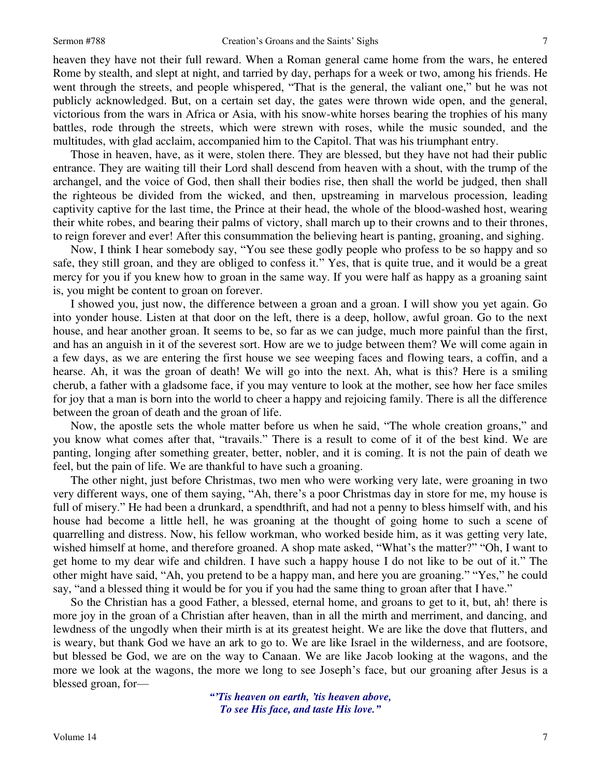heaven they have not their full reward. When a Roman general came home from the wars, he entered Rome by stealth, and slept at night, and tarried by day, perhaps for a week or two, among his friends. He went through the streets, and people whispered, "That is the general, the valiant one," but he was not publicly acknowledged. But, on a certain set day, the gates were thrown wide open, and the general, victorious from the wars in Africa or Asia, with his snow-white horses bearing the trophies of his many battles, rode through the streets, which were strewn with roses, while the music sounded, and the multitudes, with glad acclaim, accompanied him to the Capitol. That was his triumphant entry.

Those in heaven, have, as it were, stolen there. They are blessed, but they have not had their public entrance. They are waiting till their Lord shall descend from heaven with a shout, with the trump of the archangel, and the voice of God, then shall their bodies rise, then shall the world be judged, then shall the righteous be divided from the wicked, and then, upstreaming in marvelous procession, leading captivity captive for the last time, the Prince at their head, the whole of the blood-washed host, wearing their white robes, and bearing their palms of victory, shall march up to their crowns and to their thrones, to reign forever and ever! After this consummation the believing heart is panting, groaning, and sighing.

Now, I think I hear somebody say, "You see these godly people who profess to be so happy and so safe, they still groan, and they are obliged to confess it." Yes, that is quite true, and it would be a great mercy for you if you knew how to groan in the same way. If you were half as happy as a groaning saint is, you might be content to groan on forever.

I showed you, just now, the difference between a groan and a groan. I will show you yet again. Go into yonder house. Listen at that door on the left, there is a deep, hollow, awful groan. Go to the next house, and hear another groan. It seems to be, so far as we can judge, much more painful than the first, and has an anguish in it of the severest sort. How are we to judge between them? We will come again in a few days, as we are entering the first house we see weeping faces and flowing tears, a coffin, and a hearse. Ah, it was the groan of death! We will go into the next. Ah, what is this? Here is a smiling cherub, a father with a gladsome face, if you may venture to look at the mother, see how her face smiles for joy that a man is born into the world to cheer a happy and rejoicing family. There is all the difference between the groan of death and the groan of life.

Now, the apostle sets the whole matter before us when he said, "The whole creation groans," and you know what comes after that, "travails." There is a result to come of it of the best kind. We are panting, longing after something greater, better, nobler, and it is coming. It is not the pain of death we feel, but the pain of life. We are thankful to have such a groaning.

The other night, just before Christmas, two men who were working very late, were groaning in two very different ways, one of them saying, "Ah, there's a poor Christmas day in store for me, my house is full of misery." He had been a drunkard, a spendthrift, and had not a penny to bless himself with, and his house had become a little hell, he was groaning at the thought of going home to such a scene of quarrelling and distress. Now, his fellow workman, who worked beside him, as it was getting very late, wished himself at home, and therefore groaned. A shop mate asked, "What's the matter?" "Oh, I want to get home to my dear wife and children. I have such a happy house I do not like to be out of it." The other might have said, "Ah, you pretend to be a happy man, and here you are groaning." "Yes," he could say, "and a blessed thing it would be for you if you had the same thing to groan after that I have."

So the Christian has a good Father, a blessed, eternal home, and groans to get to it, but, ah! there is more joy in the groan of a Christian after heaven, than in all the mirth and merriment, and dancing, and lewdness of the ungodly when their mirth is at its greatest height. We are like the dove that flutters, and is weary, but thank God we have an ark to go to. We are like Israel in the wilderness, and are footsore, but blessed be God, we are on the way to Canaan. We are like Jacob looking at the wagons, and the more we look at the wagons, the more we long to see Joseph's face, but our groaning after Jesus is a blessed groan, for—

> *"'Tis heaven on earth, 'tis heaven above, To see His face, and taste His love."*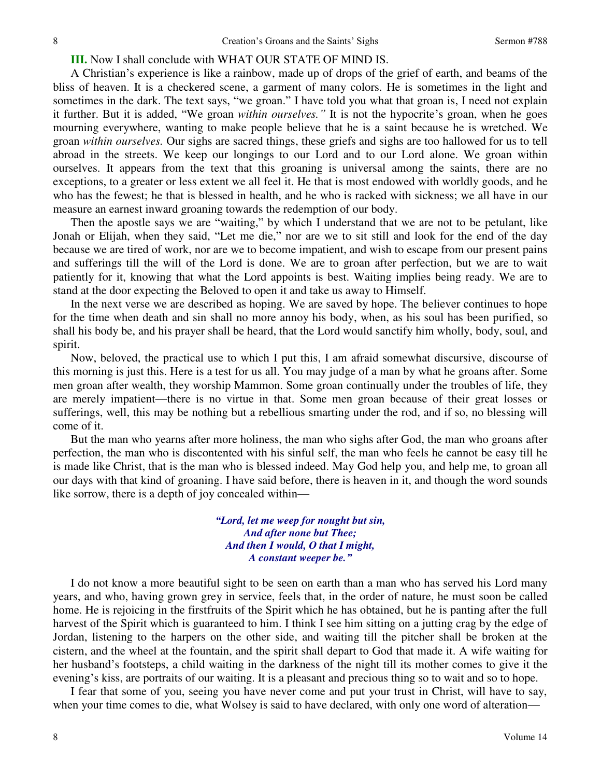**III.** Now I shall conclude with WHAT OUR STATE OF MIND IS.

A Christian's experience is like a rainbow, made up of drops of the grief of earth, and beams of the bliss of heaven. It is a checkered scene, a garment of many colors. He is sometimes in the light and sometimes in the dark. The text says, "we groan." I have told you what that groan is, I need not explain it further. But it is added, "We groan *within ourselves."* It is not the hypocrite's groan, when he goes mourning everywhere, wanting to make people believe that he is a saint because he is wretched. We groan *within ourselves.* Our sighs are sacred things, these griefs and sighs are too hallowed for us to tell abroad in the streets. We keep our longings to our Lord and to our Lord alone. We groan within ourselves. It appears from the text that this groaning is universal among the saints, there are no exceptions, to a greater or less extent we all feel it. He that is most endowed with worldly goods, and he who has the fewest; he that is blessed in health, and he who is racked with sickness; we all have in our measure an earnest inward groaning towards the redemption of our body.

Then the apostle says we are "waiting," by which I understand that we are not to be petulant, like Jonah or Elijah, when they said, "Let me die," nor are we to sit still and look for the end of the day because we are tired of work, nor are we to become impatient, and wish to escape from our present pains and sufferings till the will of the Lord is done. We are to groan after perfection, but we are to wait patiently for it, knowing that what the Lord appoints is best. Waiting implies being ready. We are to stand at the door expecting the Beloved to open it and take us away to Himself.

In the next verse we are described as hoping. We are saved by hope. The believer continues to hope for the time when death and sin shall no more annoy his body, when, as his soul has been purified, so shall his body be, and his prayer shall be heard, that the Lord would sanctify him wholly, body, soul, and spirit.

Now, beloved, the practical use to which I put this, I am afraid somewhat discursive, discourse of this morning is just this. Here is a test for us all. You may judge of a man by what he groans after. Some men groan after wealth, they worship Mammon. Some groan continually under the troubles of life, they are merely impatient—there is no virtue in that. Some men groan because of their great losses or sufferings, well, this may be nothing but a rebellious smarting under the rod, and if so, no blessing will come of it.

But the man who yearns after more holiness, the man who sighs after God, the man who groans after perfection, the man who is discontented with his sinful self, the man who feels he cannot be easy till he is made like Christ, that is the man who is blessed indeed. May God help you, and help me, to groan all our days with that kind of groaning. I have said before, there is heaven in it, and though the word sounds like sorrow, there is a depth of joy concealed within—

> *"Lord, let me weep for nought but sin, And after none but Thee; And then I would, O that I might, A constant weeper be."*

I do not know a more beautiful sight to be seen on earth than a man who has served his Lord many years, and who, having grown grey in service, feels that, in the order of nature, he must soon be called home. He is rejoicing in the firstfruits of the Spirit which he has obtained, but he is panting after the full harvest of the Spirit which is guaranteed to him. I think I see him sitting on a jutting crag by the edge of Jordan, listening to the harpers on the other side, and waiting till the pitcher shall be broken at the cistern, and the wheel at the fountain, and the spirit shall depart to God that made it. A wife waiting for her husband's footsteps, a child waiting in the darkness of the night till its mother comes to give it the evening's kiss, are portraits of our waiting. It is a pleasant and precious thing so to wait and so to hope.

I fear that some of you, seeing you have never come and put your trust in Christ, will have to say, when your time comes to die, what Wolsey is said to have declared, with only one word of alteration—